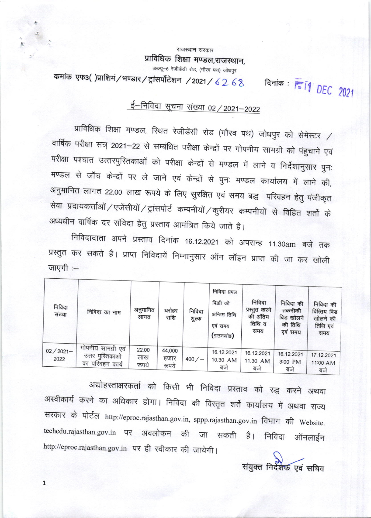राजस्थान सरकार प्राविधिक शिक्षा मण्डल,राजस्थान,

डब्ल्यू-6 रेजीडेंसी रोड, (गौरव पथ) जोधपुर

कमांक एफ3()प्राशिमं/भण्डार/ट्रांसर्पोटेशन /2021/6268

दिनांक: <u>ब्</u>लि1 DEC 2021

# ई–निविदा सूचना संख्या 02 / 2021–2022

प्राविधिक शिक्षा मण्डल, स्थित रेजीडेंसी रोड (गौरव पथ) जोधपुर को सेमेस्टर / वार्षिक परीक्षा सत्र् 2021–22 से सम्बंधित परीक्षा केन्द्रों पर गोपनीय सामग्री को पंहुचाने एवं परीक्षा पश्चात उत्तरपुरितकाओं को परीक्षा केन्द्रों से मण्डल में लाने व निर्देशानुसार पुनः मण्डल से जॉच केन्द्रों पर ले जाने एवं केन्द्रों से पुनः मण्डल कार्यालय में लाने की, अनुमानित लागत 22.00 लाख रूपये के लिए सुरक्षित एवं समय बद्ध परिवहन हेतु पंजीकृत सेवा प्रदायकर्त्ताओं / एजेंसीयों / ट्रांसपोर्ट कम्पनीयों / कुरीयर कम्पनीयों से विहित शर्तो के अध्यधीन वार्षिक दर संविदा हेतु प्रस्ताव आमंत्रित किये जाते है।

निविदादाता अपने प्रस्ताव दिनांक 16.12.2021 को अपरान्ह 11.30am बजे तक प्रस्तुत कर सकते है। प्राप्त निविदायें निम्नानुसार ऑन लॉइन प्राप्त की जा कर खोली जाएगी :-

| निविदा<br>संख्या    | निविदा का नाम                                             | अनुमानित<br>लागत      | धरोहर<br>राशि           | निविदा<br>शुल्क | निविदा प्रपत्र<br>बिक्री की<br>अन्तिम तिथि<br>एवं समय<br>(डाउनलोड) | निविदा<br>प्रस्तुत करने<br>की अंतिम<br>तिथि व<br>समय | निविदा की<br>तकनीकी<br>बिड खोलने<br>की तिथि<br>एवं समय | निविदा की<br>वित्तिय बिड<br>खोलने की<br>तिथि एवं<br>समय |
|---------------------|-----------------------------------------------------------|-----------------------|-------------------------|-----------------|--------------------------------------------------------------------|------------------------------------------------------|--------------------------------------------------------|---------------------------------------------------------|
| $02/2021 -$<br>2022 | गोपनीय सामग्री एवं<br>उत्तर पुस्तिकाओं<br>का परिवहन कार्य | 22.00<br>लाख<br>रूपये | 44,000<br>हजार<br>रूपये | 400/            | 16.12.2021<br>10.30 AM<br>बजे                                      | 16.12.2021<br>11.30 AM<br>बजे                        | 16.12.2021<br>3:00 PM<br>बजे                           | 17.12.2021<br>11:00 AM<br>बजे                           |

अद्योहस्ताक्षरकर्ता को किसी भी निविदा प्रस्ताव को रद्ध करने अथवा अस्वीकार्य करने का अधिकार होगा। निविदा की विस्तृत शर्ते कार्यालय में अथवा राज्य सरकार के पोर्टल http://eproc.rajasthan.gov.in, sppp.rajasthan.gov.in विभाग की Website. techedu.rajasthan.gov.in पर अवलोकन की जा सकती है। निविदा ऑनलाईन http://eproc.rajasthan.gov.in पर ही स्वीकार की जायेगी।

 $\mathbf{1}$ 

संयुक्त निर्देशक एवं सचिव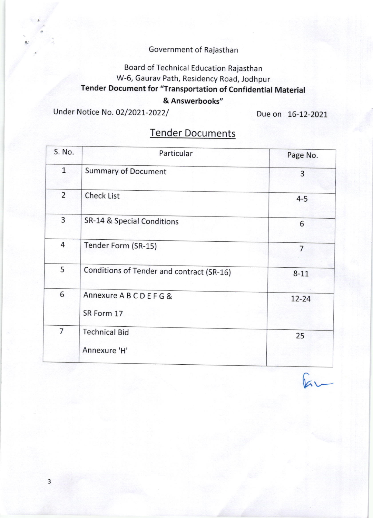### Government of Rajasthan

### Board of Technical Education Rajasthan W-6, Gaurav Path, Residency Road, Jodhpur Tender Document for "Transportation of Confidential Material

#### & Answerbooks"

Under Notice No. 02/2021-2022/ Due on 16-12-2021

| S. No.         | Particular                                | Page No.       |  |
|----------------|-------------------------------------------|----------------|--|
| $\mathbf{1}$   | <b>Summary of Document</b>                | 3              |  |
| $\overline{2}$ | <b>Check List</b>                         | $4 - 5$        |  |
| 3              | SR-14 & Special Conditions                | 6              |  |
| 4              | Tender Form (SR-15)                       | $\overline{7}$ |  |
| 5              | Conditions of Tender and contract (SR-16) | $8 - 11$       |  |
| 6              | Annexure A B C D E F G &<br>SR Form 17    | 12-24          |  |
| 7              | <b>Technical Bid</b><br>Annexure 'H'      | 25             |  |

## Tender Documents

 $k -$